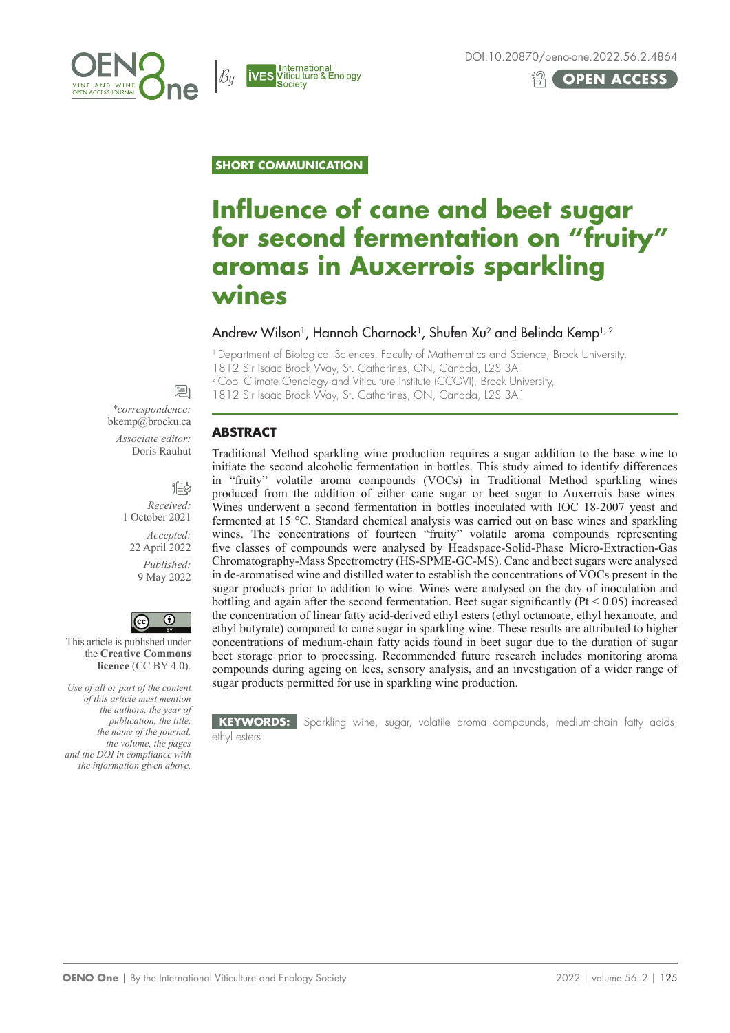



 $\mathcal{B}_u$ 

**IVES**<br>**IVES** Viticulture & Enology<br>Society

# **OPEN ACCESS**

**SHORT COMMUNICATION**

# **Influence of cane and beet sugar for second fermentation on "fruity" aromas in Auxerrois sparkling wines**

## Andrew Wilson<sup>1</sup>, Hannah Charnock<sup>1</sup>, Shufen Xu<sup>2</sup> and Belinda Kemp<sup>1, 2</sup>

<sup>1</sup> Department of Biological Sciences, Faculty of Mathematics and Science, Brock University,

1812 Sir Isaac Brock Way, St. Catharines, ON, Canada, L2S 3A1

<sup>2</sup> Cool Climate Oenology and Viticulture Institute (CCOVI), Brock University,

1812 Sir Isaac Brock Way, St. Catharines, ON, Canada, L2S 3A1

## **ABSTRACT**

Traditional Method sparkling wine production requires a sugar addition to the base wine to initiate the second alcoholic fermentation in bottles. This study aimed to identify differences in "fruity" volatile aroma compounds (VOCs) in Traditional Method sparkling wines produced from the addition of either cane sugar or beet sugar to Auxerrois base wines. Wines underwent a second fermentation in bottles inoculated with IOC 18-2007 yeast and fermented at 15 °C. Standard chemical analysis was carried out on base wines and sparkling wines. The concentrations of fourteen "fruity" volatile aroma compounds representing five classes of compounds were analysed by Headspace-Solid-Phase Micro-Extraction-Gas Chromatography-Mass Spectrometry (HS-SPME-GC-MS). Cane and beet sugars were analysed in de-aromatised wine and distilled water to establish the concentrations of VOCs present in the sugar products prior to addition to wine. Wines were analysed on the day of inoculation and bottling and again after the second fermentation. Beet sugar significantly  $(Pt \le 0.05)$  increased the concentration of linear fatty acid-derived ethyl esters (ethyl octanoate, ethyl hexanoate, and ethyl butyrate) compared to cane sugar in sparkling wine. These results are attributed to higher concentrations of medium-chain fatty acids found in beet sugar due to the duration of sugar beet storage prior to processing. Recommended future research includes monitoring aroma compounds during ageing on lees, sensory analysis, and an investigation of a wider range of sugar products permitted for use in sparkling wine production.

**KEYWORDS:** Sparkling wine, sugar, volatile aroma compounds, medium-chain fatty acids, ethyl esters

*\*correspondence:* bkemp@brocku.ca *Associate editor:* Doris Rauhut

⊯ा

胞 *Received:*  1 October 2021 *Accepted:*  22 April 2022 *Published:*  9 May 2022



This article is published under the **Creative Commons licence** (CC BY 4.0).

*Use of all or part of the content of this article must mention the authors, the year of publication, the title, the name of the journal, the volume, the pages and the DOI in compliance with the information given above.*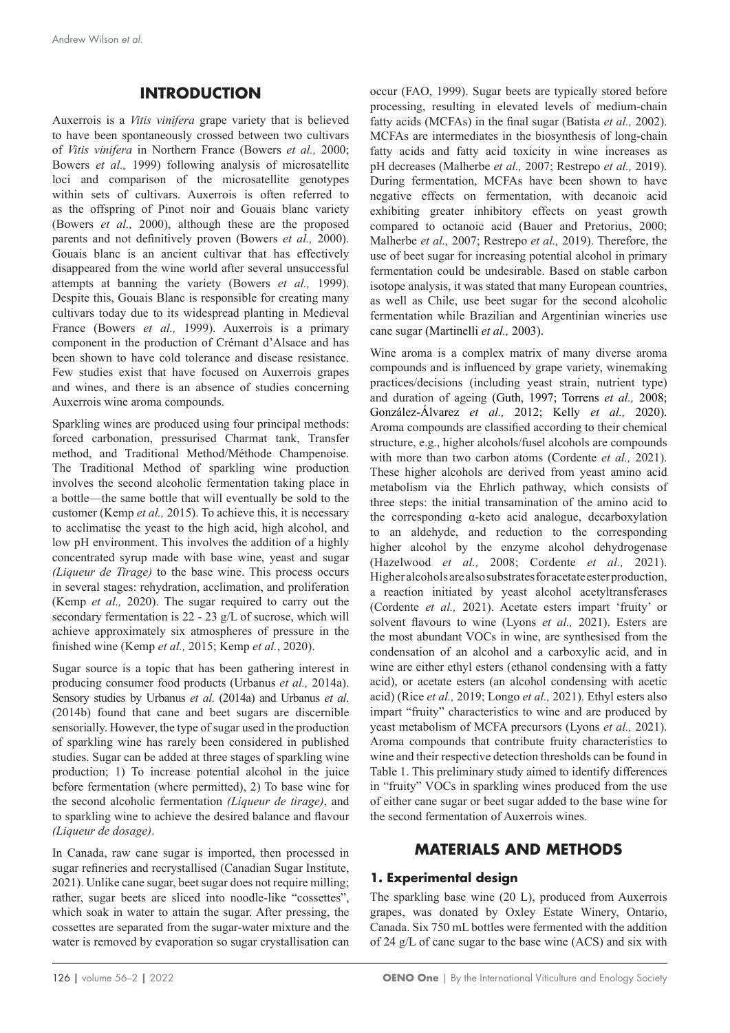## **INTRODUCTION**

Auxerrois is a *Vitis vinifera* grape variety that is believed to have been spontaneously crossed between two cultivars of *Vitis vinifera* in Northern France (Bowers *et al.,* 2000; Bowers *et al.,* 1999) following analysis of microsatellite loci and comparison of the microsatellite genotypes within sets of cultivars. Auxerrois is often referred to as the offspring of Pinot noir and Gouais blanc variety (Bowers *et al.,* 2000), although these are the proposed parents and not definitively proven (Bowers *et al.,* 2000). Gouais blanc is an ancient cultivar that has effectively disappeared from the wine world after several unsuccessful attempts at banning the variety (Bowers *et al.,* 1999). Despite this, Gouais Blanc is responsible for creating many cultivars today due to its widespread planting in Medieval France (Bowers *et al.,* 1999). Auxerrois is a primary component in the production of Crémant d'Alsace and has been shown to have cold tolerance and disease resistance. Few studies exist that have focused on Auxerrois grapes and wines, and there is an absence of studies concerning Auxerrois wine aroma compounds.

Sparkling wines are produced using four principal methods: forced carbonation, pressurised Charmat tank, Transfer method, and Traditional Method/Méthode Champenoise. The Traditional Method of sparkling wine production involves the second alcoholic fermentation taking place in a bottle—the same bottle that will eventually be sold to the customer (Kemp *et al.,* 2015). To achieve this, it is necessary to acclimatise the yeast to the high acid, high alcohol, and low pH environment. This involves the addition of a highly concentrated syrup made with base wine, yeast and sugar *(Liqueur de Tirage)* to the base wine. This process occurs in several stages: rehydration, acclimation, and proliferation (Kemp *et al.,* 2020). The sugar required to carry out the secondary fermentation is 22 - 23 g/L of sucrose, which will achieve approximately six atmospheres of pressure in the finished wine (Kemp *et al.,* 2015; Kemp *et al.*, 2020).

Sugar source is a topic that has been gathering interest in producing consumer food products (Urbanus *et al.,* 2014a). Sensory studies by Urbanus *et al*. (2014a) and Urbanus *et al*. (2014b) found that cane and beet sugars are discernible sensorially. However, the type of sugar used in the production of sparkling wine has rarely been considered in published studies. Sugar can be added at three stages of sparkling wine production; 1) To increase potential alcohol in the juice before fermentation (where permitted), 2) To base wine for the second alcoholic fermentation *(Liqueur de tirage)*, and to sparkling wine to achieve the desired balance and flavour *(Liqueur de dosage)*.

In Canada, raw cane sugar is imported, then processed in sugar refineries and recrystallised (Canadian Sugar Institute, 2021). Unlike cane sugar, beet sugar does not require milling; rather, sugar beets are sliced into noodle-like "cossettes", which soak in water to attain the sugar. After pressing, the cossettes are separated from the sugar-water mixture and the water is removed by evaporation so sugar crystallisation can occur (FAO, 1999). Sugar beets are typically stored before processing, resulting in elevated levels of medium-chain fatty acids (MCFAs) in the final sugar (Batista *et al.,* 2002). MCFAs are intermediates in the biosynthesis of long-chain fatty acids and fatty acid toxicity in wine increases as pH decreases (Malherbe *et al.,* 2007; Restrepo *et al.,* 2019). During fermentation, MCFAs have been shown to have negative effects on fermentation, with decanoic acid exhibiting greater inhibitory effects on yeast growth compared to octanoic acid (Bauer and Pretorius, 2000; Malherbe *et al.,* 2007; Restrepo *et al.,* 2019). Therefore, the use of beet sugar for increasing potential alcohol in primary fermentation could be undesirable. Based on stable carbon isotope analysis, it was stated that many European countries, as well as Chile, use beet sugar for the second alcoholic fermentation while Brazilian and Argentinian wineries use cane sugar (Martinelli *et al.,* 2003).

Wine aroma is a complex matrix of many diverse aroma compounds and is influenced by grape variety, winemaking practices/decisions (including yeast strain, nutrient type) and duration of ageing (Guth, 1997; Torrens *et al.,* 2008; González-Álvarez *et al.,* 2012; Kelly *et al.,* 2020). Aroma compounds are classified according to their chemical structure, e.g., higher alcohols/fusel alcohols are compounds with more than two carbon atoms (Cordente *et al.,* 2021). These higher alcohols are derived from yeast amino acid metabolism via the Ehrlich pathway, which consists of three steps: the initial transamination of the amino acid to the corresponding α-keto acid analogue, decarboxylation to an aldehyde, and reduction to the corresponding higher alcohol by the enzyme alcohol dehydrogenase (Hazelwood *et al.,* 2008; Cordente *et al.,* 2021). Higher alcohols are also substrates for acetate ester production, a reaction initiated by yeast alcohol acetyltransferases (Cordente *et al.,* 2021). Acetate esters impart 'fruity' or solvent flavours to wine (Lyons *et al.,* 2021). Esters are the most abundant VOCs in wine, are synthesised from the condensation of an alcohol and a carboxylic acid, and in wine are either ethyl esters (ethanol condensing with a fatty acid), or acetate esters (an alcohol condensing with acetic acid) (Rice *et al.,* 2019; Longo *et al.,* 2021). Ethyl esters also impart "fruity" characteristics to wine and are produced by yeast metabolism of MCFA precursors (Lyons *et al.,* 2021). Aroma compounds that contribute fruity characteristics to wine and their respective detection thresholds can be found in Table 1. This preliminary study aimed to identify differences in "fruity" VOCs in sparkling wines produced from the use of either cane sugar or beet sugar added to the base wine for the second fermentation of Auxerrois wines.

## **MATERIALS AND METHODS**

#### **1. Experimental design**

The sparkling base wine (20 L), produced from Auxerrois grapes, was donated by Oxley Estate Winery, Ontario, Canada. Six 750 mL bottles were fermented with the addition of 24 g/L of cane sugar to the base wine (ACS) and six with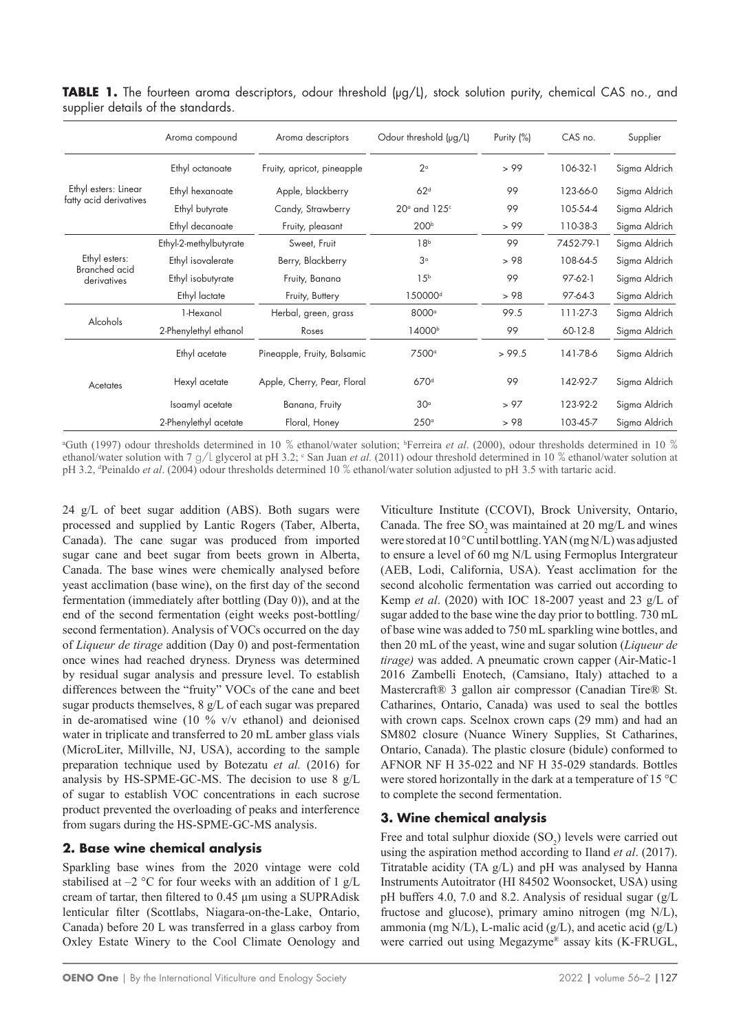|                                     | Aroma compound         | Aroma descriptors           | Odour threshold $(\mu q/L)$ | Purity (%)     | CAS no.    | Supplier      |  |
|-------------------------------------|------------------------|-----------------------------|-----------------------------|----------------|------------|---------------|--|
|                                     | Ethyl octanoate        | Fruity, apricot, pineapple  | $2^{\circ}$                 | > 99           | 106-32-1   | Sigma Aldrich |  |
| Ethyl esters: Linear                | Ethyl hexanoate        | Apple, blackberry           | 62 <sup>d</sup>             | 99             | 123-66-0   | Sigma Aldrich |  |
| fatty acid derivatives              | Ethyl butyrate         | Candy, Strawberry           | $20°$ and $125°$            | 105-54-4<br>99 |            | Sigma Aldrich |  |
|                                     | Ethyl decanoate        | Fruity, pleasant            | 200 <sup>b</sup>            | > 99           | 110-38-3   | Sigma Aldrich |  |
|                                     | Ethyl-2-methylbutyrate | Sweet, Fruit                | 18 <sup>b</sup>             | 99             | 7452-79-1  | Sigma Aldrich |  |
| Ethyl esters:                       | Ethyl isovalerate      | Berry, Blackberry           | 3 <sup>°</sup>              | > 98           | 108-64-5   | Sigma Aldrich |  |
| <b>Branched</b> acid<br>derivatives | Ethyl isobutyrate      | Fruity, Banana              | 15 <sup>b</sup>             | 99             | $97-62-1$  | Sigma Aldrich |  |
|                                     | Ethyl lactate          | Fruity, Buttery             | 150000 <sup>d</sup>         | > 98           | 97-64-3    | Sigma Aldrich |  |
|                                     | 1-Hexanol              | Herbal, green, grass        | 8000 <sup>a</sup>           | 99.5           | $111-27-3$ | Sigma Aldrich |  |
| Alcohols                            | 2-Phenylethyl ethanol  | Roses                       | 14000b                      | 99             | 60-12-8    | Sigma Aldrich |  |
| Acetates                            | Ethyl acetate          | Pineapple, Fruity, Balsamic | 7500 <sup>a</sup>           | > 99.5         | 141-78-6   | Sigma Aldrich |  |
|                                     | Hexyl acetate          | Apple, Cherry, Pear, Floral | 670 <sup>d</sup>            | 99             | 142-92-7   | Sigma Aldrich |  |
|                                     | Isoamyl acetate        | Banana, Fruity              | 30 <sup>°</sup>             | > 97           | 123-92-2   | Sigma Aldrich |  |
|                                     | 2-Phenylethyl acetate  | Floral, Honey               | $250^\circ$                 | >98            | 103-45-7   | Sigma Aldrich |  |

**TABLE 1.** The fourteen aroma descriptors, odour threshold (µg/L), stock solution purity, chemical CAS no., and supplier details of the standards.

a Guth (1997) odour thresholds determined in 10 % ethanol/water solution; b Ferreira *et al*. (2000), odour thresholds determined in 10 % ethanol/water solution with 7  $g/l$  glycerol at pH 3.2; <sup>c</sup> San Juan *et al.* (2011) odour threshold determined in 10 % ethanol/water solution at pH 3.2, <sup>d</sup> Peinaldo *et al*. (2004) odour thresholds determined 10 % ethanol/water solution adjusted to pH 3.5 with tartaric acid.

24 g/L of beet sugar addition (ABS). Both sugars were processed and supplied by Lantic Rogers (Taber, Alberta, Canada). The cane sugar was produced from imported sugar cane and beet sugar from beets grown in Alberta, Canada. The base wines were chemically analysed before yeast acclimation (base wine), on the first day of the second fermentation (immediately after bottling (Day 0)), and at the end of the second fermentation (eight weeks post-bottling/ second fermentation). Analysis of VOCs occurred on the day of *Liqueur de tirage* addition (Day 0) and post-fermentation once wines had reached dryness. Dryness was determined by residual sugar analysis and pressure level. To establish differences between the "fruity" VOCs of the cane and beet sugar products themselves, 8 g/L of each sugar was prepared in de-aromatised wine  $(10 \frac{9}{6} \frac{v}{v})$  ethanol) and deionised water in triplicate and transferred to 20 mL amber glass vials (MicroLiter, Millville, NJ, USA), according to the sample preparation technique used by Botezatu *et al.* (2016) for analysis by HS-SPME-GC-MS. The decision to use 8 g/L of sugar to establish VOC concentrations in each sucrose product prevented the overloading of peaks and interference from sugars during the HS-SPME-GC-MS analysis.

## **2. Base wine chemical analysis**

Sparkling base wines from the 2020 vintage were cold stabilised at  $-2$  °C for four weeks with an addition of 1 g/L cream of tartar, then filtered to 0.45 μm using a SUPRAdisk lenticular filter (Scottlabs, Niagara-on-the-Lake, Ontario, Canada) before 20 L was transferred in a glass carboy from Oxley Estate Winery to the Cool Climate Oenology and Viticulture Institute (CCOVI), Brock University, Ontario, Canada. The free  $SO_2$  was maintained at 20 mg/L and wines were stored at 10 °C until bottling. YAN (mg N/L) was adjusted to ensure a level of 60 mg N/L using Fermoplus Intergrateur (AEB, Lodi, California, USA). Yeast acclimation for the second alcoholic fermentation was carried out according to Kemp *et al*. (2020) with IOC 18-2007 yeast and 23 g/L of sugar added to the base wine the day prior to bottling. 730 mL of base wine was added to 750 mL sparkling wine bottles, and then 20 mL of the yeast, wine and sugar solution (*Liqueur de tirage)* was added. A pneumatic crown capper (Air-Matic-1 2016 Zambelli Enotech, (Camsiano, Italy) attached to a Mastercraft® 3 gallon air compressor (Canadian Tire® St. Catharines, Ontario, Canada) was used to seal the bottles with crown caps. Scelnox crown caps (29 mm) and had an SM802 closure (Nuance Winery Supplies, St Catharines, Ontario, Canada). The plastic closure (bidule) conformed to AFNOR NF H 35-022 and NF H 35-029 standards. Bottles were stored horizontally in the dark at a temperature of 15 °C to complete the second fermentation.

## **3. Wine chemical analysis**

Free and total sulphur dioxide  $(SO_2)$  levels were carried out using the aspiration method according to Iland *et al*. (2017). Titratable acidity (TA g/L) and pH was analysed by Hanna Instruments Autoitrator (HI 84502 Woonsocket, USA) using pH buffers 4.0, 7.0 and 8.2. Analysis of residual sugar (g/L fructose and glucose), primary amino nitrogen (mg N/L), ammonia (mg N/L), L-malic acid (g/L), and acetic acid (g/L) were carried out using Megazyme® assay kits (K-FRUGL,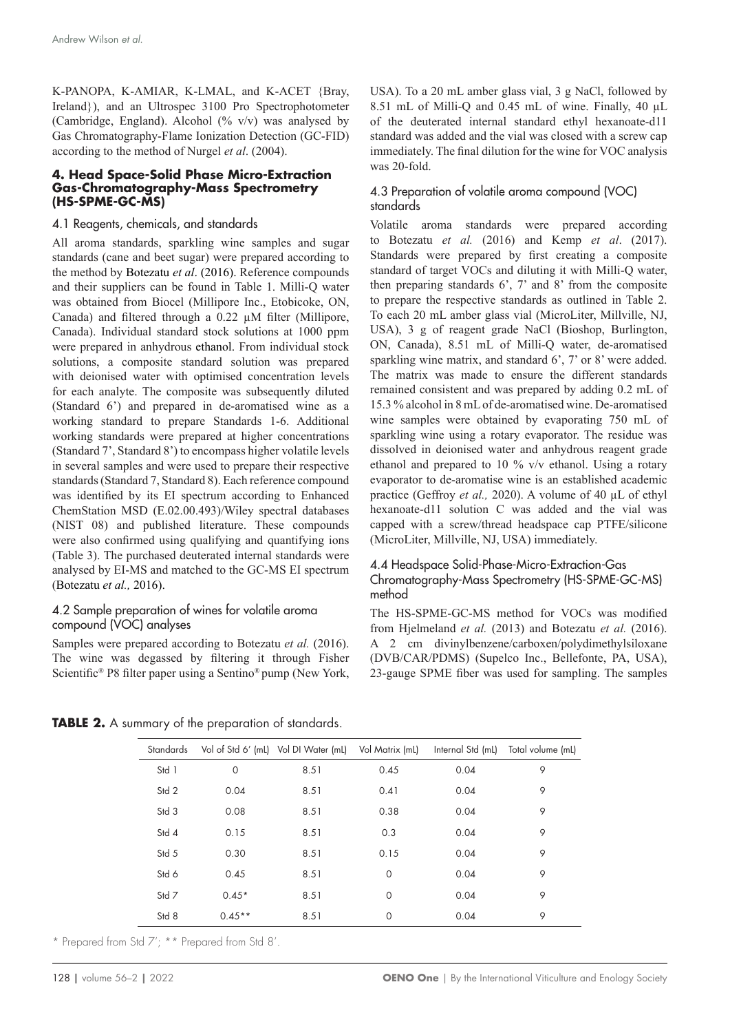K-PANOPA, K-AMIAR, K-LMAL, and K-ACET {Bray, Ireland}), and an Ultrospec 3100 Pro Spectrophotometer (Cambridge, England). Alcohol (%  $v/v$ ) was analysed by Gas Chromatography-Flame Ionization Detection (GC-FID) according to the method of Nurgel *et al*. (2004).

#### **4. Head Space-Solid Phase Micro-Extraction Gas-Chromatography-Mass Spectrometry (HS-SPME-GC-MS)**

#### 4.1 Reagents, chemicals, and standards

All aroma standards, sparkling wine samples and sugar standards (cane and beet sugar) were prepared according to the method by Botezatu *et al*. (2016). Reference compounds and their suppliers can be found in Table 1. Milli-Q water was obtained from Biocel (Millipore Inc., Etobicoke, ON, Canada) and filtered through a 0.22 µM filter (Millipore, Canada). Individual standard stock solutions at 1000 ppm were prepared in anhydrous ethanol. From individual stock solutions, a composite standard solution was prepared with deionised water with optimised concentration levels for each analyte. The composite was subsequently diluted (Standard 6') and prepared in de-aromatised wine as a working standard to prepare Standards 1-6. Additional working standards were prepared at higher concentrations (Standard 7', Standard 8') to encompass higher volatile levels in several samples and were used to prepare their respective standards (Standard 7, Standard 8). Each reference compound was identified by its EI spectrum according to Enhanced ChemStation MSD (E.02.00.493)/Wiley spectral databases (NIST 08) and published literature. These compounds were also confirmed using qualifying and quantifying ions (Table 3). The purchased deuterated internal standards were analysed by EI-MS and matched to the GC-MS EI spectrum (Botezatu *et al.,* 2016).

#### 4.2 Sample preparation of wines for volatile aroma compound (VOC) analyses

Samples were prepared according to Botezatu *et al.* (2016). The wine was degassed by filtering it through Fisher Scientific® P8 filter paper using a Sentino® pump (New York, USA). To a 20 mL amber glass vial, 3 g NaCl, followed by 8.51 mL of Milli-Q and 0.45 mL of wine. Finally, 40 µL of the deuterated internal standard ethyl hexanoate-d11 standard was added and the vial was closed with a screw cap immediately. The final dilution for the wine for VOC analysis was 20-fold.

#### 4.3 Preparation of volatile aroma compound (VOC) standards

Volatile aroma standards were prepared according to Botezatu *et al.* (2016) and Kemp *et al*. (2017). Standards were prepared by first creating a composite standard of target VOCs and diluting it with Milli-Q water, then preparing standards 6', 7' and 8' from the composite to prepare the respective standards as outlined in Table 2. To each 20 mL amber glass vial (MicroLiter, Millville, NJ, USA), 3 g of reagent grade NaCl (Bioshop, Burlington, ON, Canada), 8.51 mL of Milli-Q water, de-aromatised sparkling wine matrix, and standard 6', 7' or 8' were added. The matrix was made to ensure the different standards remained consistent and was prepared by adding 0.2 mL of 15.3 % alcohol in 8 mL of de-aromatised wine. De-aromatised wine samples were obtained by evaporating 750 mL of sparkling wine using a rotary evaporator. The residue was dissolved in deionised water and anhydrous reagent grade ethanol and prepared to 10 % v/v ethanol. Using a rotary evaporator to de-aromatise wine is an established academic practice (Geffroy *et al.,* 2020). A volume of 40 µL of ethyl hexanoate-d11 solution C was added and the vial was capped with a screw/thread headspace cap PTFE/silicone (MicroLiter, Millville, NJ, USA) immediately.

#### 4.4 Headspace Solid-Phase-Micro-Extraction-Gas Chromatography-Mass Spectrometry (HS-SPME-GC-MS) method

The HS-SPME-GC-MS method for VOCs was modified from Hjelmeland *et al.* (2013) and Botezatu *et al.* (2016). A 2 cm divinylbenzene/carboxen/polydimethylsiloxane (DVB/CAR/PDMS) (Supelco Inc., Bellefonte, PA, USA), 23-gauge SPME fiber was used for sampling. The samples

**TABLE 2.** A summary of the preparation of standards.

| Standards |             | Vol of Std 6' (mL) Vol DI Water (mL) Vol Matrix (mL) |             | Internal Std (mL) | Total volume (mL) |
|-----------|-------------|------------------------------------------------------|-------------|-------------------|-------------------|
| Std 1     | $\mathbf 0$ | 8.51                                                 | 0.45        | 0.04              | 9                 |
| Std 2     | 0.04        | 8.51                                                 | 0.41        | 0.04              | 9                 |
| Std 3     | 0.08        | 8.51                                                 | 0.38        | 0.04              | 9                 |
| Std 4     | 0.15        | 8.51                                                 | 0.3         | 0.04              | 9                 |
| Std 5     | 0.30        | 8.51                                                 | 0.15        | 0.04              | 9                 |
| Std 6     | 0.45        | 8.51                                                 | $\mathbf 0$ | 0.04              | 9                 |
| Std 7     | $0.45*$     | 8.51                                                 | $\mathbf 0$ | 0.04              | 9                 |
| Std 8     | $0.45**$    | 8.51                                                 | $\mathbf 0$ | 0.04              | 9                 |

\* Prepared from Std 7'; \*\* Prepared from Std 8'.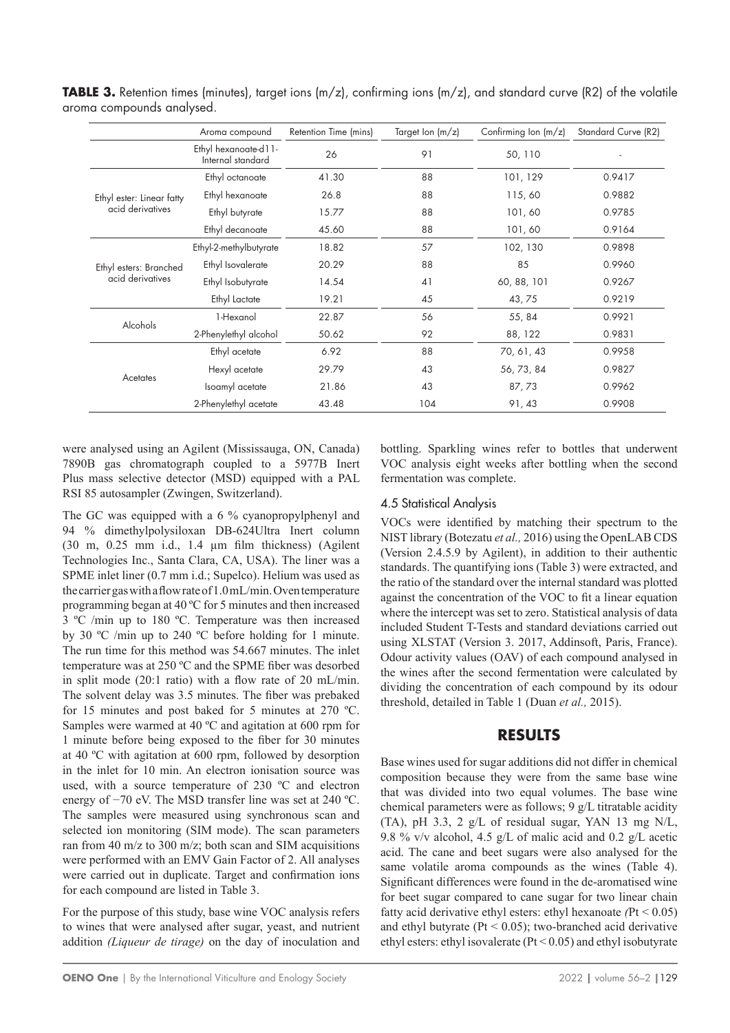|                           | Aroma compound                            | Retention Time (mins) | Target Ion $(m/z)$ | Confirming lon $(m/z)$ | Standard Curve (R2) |
|---------------------------|-------------------------------------------|-----------------------|--------------------|------------------------|---------------------|
|                           | Ethyl hexanoate-d11-<br>Internal standard | 26                    | 91                 | 50, 110                |                     |
|                           | Ethyl octanoate                           | 41.30                 | 88                 | 101, 129               | 0.9417              |
| Ethyl ester: Linear fatty | Ethyl hexanoate                           | 26.8                  | 88                 | 115,60                 | 0.9882              |
| acid derivatives          | Ethyl butyrate                            | 15.77                 | 88                 | 101,60                 | 0.9785              |
|                           | Ethyl decanoate                           | 45.60                 | 88                 | 101,60                 | 0.9164              |
|                           | Ethyl-2-methylbutyrate                    | 18.82                 | 57                 | 102, 130               | 0.9898              |
| Ethyl esters: Branched    | Ethyl Isovalerate                         | 20.29                 | 88                 | 85                     | 0.9960              |
| acid derivatives          | Ethyl Isobutyrate                         | 14.54                 | 41                 | 60, 88, 101            | 0.9267              |
|                           | Ethyl Lactate                             | 19.21                 | 45                 | 43,75                  | 0.9219              |
|                           | 1-Hexanol                                 | 22.87                 | 56                 | 55, 84                 | 0.9921              |
| Alcohols                  | 2-Phenylethyl alcohol                     | 50.62                 | 92                 | 88, 122                | 0.9831              |
|                           | Ethyl acetate                             | 6.92                  | 88                 | 70, 61, 43             | 0.9958              |
|                           | Hexyl acetate                             | 29.79                 | 43                 | 56, 73, 84             | 0.9827              |
| Acetates                  | Isoamyl acetate                           | 21.86                 | 43                 | 87,73                  | 0.9962              |
|                           | 2-Phenylethyl acetate                     | 43.48                 | 104                | 91, 43                 | 0.9908              |

**TABLE 3.** Retention times (minutes), target ions (m/z), confirming ions (m/z), and standard curve (R2) of the volatile aroma compounds analysed.

were analysed using an Agilent (Mississauga, ON, Canada) 7890B gas chromatograph coupled to a 5977B Inert Plus mass selective detector (MSD) equipped with a PAL RSI 85 autosampler (Zwingen, Switzerland).

The GC was equipped with a 6 % cyanopropylphenyl and 94 % dimethylpolysiloxan DB-624Ultra Inert column (30 m, 0.25 mm i.d., 1.4 µm film thickness) (Agilent Technologies Inc., Santa Clara, CA, USA). The liner was a SPME inlet liner (0.7 mm i.d.; Supelco). Helium was used as the carrier gas with a flow rateof1.0mL/min. Oven temperature programming began at 40 ºC for 5 minutes and then increased 3 ºC /min up to 180 ºC. Temperature was then increased by 30 ºC /min up to 240 ºC before holding for 1 minute. The run time for this method was 54.667 minutes. The inlet temperature was at 250 ºC and the SPME fiber was desorbed in split mode (20:1 ratio) with a flow rate of 20 mL/min. The solvent delay was 3.5 minutes. The fiber was prebaked for 15 minutes and post baked for 5 minutes at 270 ºC. Samples were warmed at 40 ºC and agitation at 600 rpm for 1 minute before being exposed to the fiber for 30 minutes at 40 ºC with agitation at 600 rpm, followed by desorption in the inlet for 10 min. An electron ionisation source was used, with a source temperature of 230 ºC and electron energy of −70 eV. The MSD transfer line was set at 240 ºC. The samples were measured using synchronous scan and selected ion monitoring (SIM mode). The scan parameters ran from 40 m/z to 300 m/z; both scan and SIM acquisitions were performed with an EMV Gain Factor of 2. All analyses were carried out in duplicate. Target and confirmation ions for each compound are listed in Table 3.

For the purpose of this study, base wine VOC analysis refers to wines that were analysed after sugar, yeast, and nutrient addition *(Liqueur de tirage)* on the day of inoculation and bottling. Sparkling wines refer to bottles that underwent VOC analysis eight weeks after bottling when the second fermentation was complete.

## 4.5 Statistical Analysis

VOCs were identified by matching their spectrum to the NIST library (Botezatu *et al.,* 2016) using the OpenLAB CDS (Version 2.4.5.9 by Agilent), in addition to their authentic standards. The quantifying ions (Table 3) were extracted, and the ratio of the standard over the internal standard was plotted against the concentration of the VOC to fit a linear equation where the intercept was set to zero. Statistical analysis of data included Student T-Tests and standard deviations carried out using XLSTAT (Version 3. 2017, Addinsoft, Paris, France). Odour activity values (OAV) of each compound analysed in the wines after the second fermentation were calculated by dividing the concentration of each compound by its odour threshold, detailed in Table 1 (Duan *et al.,* 2015).

## **RESULTS**

Base wines used for sugar additions did not differ in chemical composition because they were from the same base wine that was divided into two equal volumes. The base wine chemical parameters were as follows; 9 g/L titratable acidity (TA), pH 3.3, 2 g/L of residual sugar, YAN 13 mg N/L, 9.8 % v/v alcohol, 4.5 g/L of malic acid and 0.2 g/L acetic acid. The cane and beet sugars were also analysed for the same volatile aroma compounds as the wines (Table 4). Significant differences were found in the de-aromatised wine for beet sugar compared to cane sugar for two linear chain fatty acid derivative ethyl esters: ethyl hexanoate *(*Pt < 0.05) and ethyl butyrate ( $Pt < 0.05$ ); two-branched acid derivative ethyl esters: ethyl isovalerate (Pt < 0.05) and ethyl isobutyrate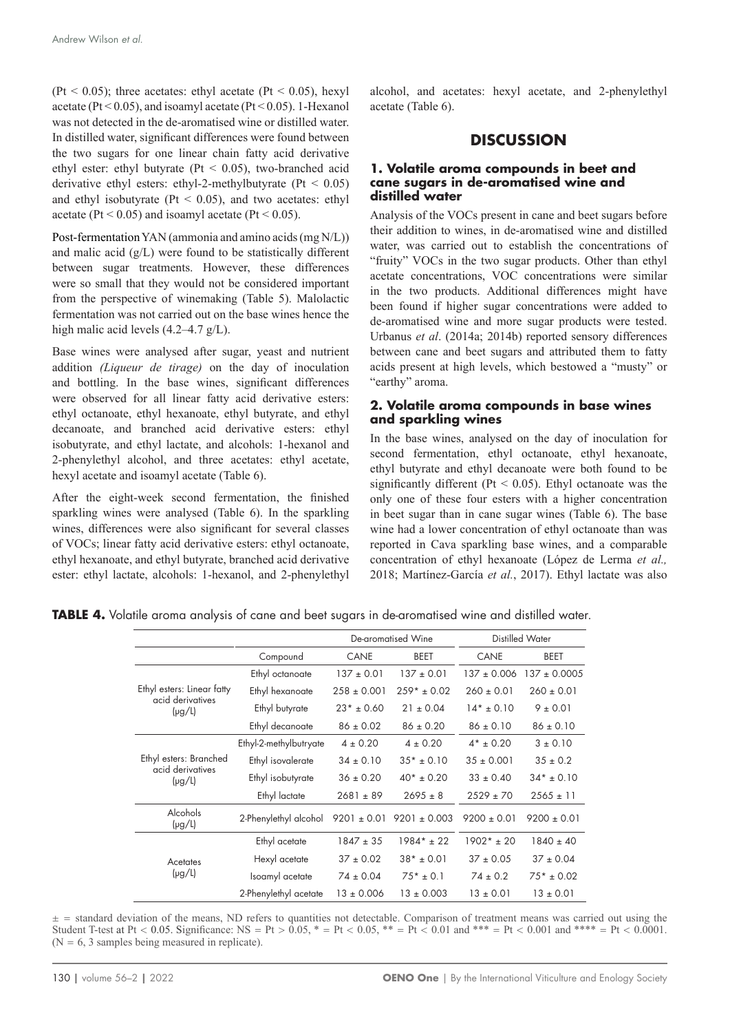(Pt  $\leq$  0.05); three acetates: ethyl acetate (Pt  $\leq$  0.05), hexyl acetate ( $Pt < 0.05$ ), and isoamyl acetate ( $Pt < 0.05$ ). 1-Hexanol was not detected in the de-aromatised wine or distilled water. In distilled water, significant differences were found between the two sugars for one linear chain fatty acid derivative ethyl ester: ethyl butyrate ( $Pt < 0.05$ ), two-branched acid derivative ethyl esters: ethyl-2-methylbutyrate ( $Pt < 0.05$ ) and ethyl isobutyrate ( $Pt < 0.05$ ), and two acetates: ethyl acetate (Pt  $< 0.05$ ) and isoamyl acetate (Pt  $< 0.05$ ).

Post-fermentation YAN (ammonia and amino acids (mg N/L)) and malic acid (g/L) were found to be statistically different between sugar treatments. However, these differences were so small that they would not be considered important from the perspective of winemaking (Table 5). Malolactic fermentation was not carried out on the base wines hence the high malic acid levels (4.2–4.7 g/L).

Base wines were analysed after sugar, yeast and nutrient addition *(Liqueur de tirage)* on the day of inoculation and bottling. In the base wines, significant differences were observed for all linear fatty acid derivative esters: ethyl octanoate, ethyl hexanoate, ethyl butyrate, and ethyl decanoate, and branched acid derivative esters: ethyl isobutyrate, and ethyl lactate, and alcohols: 1-hexanol and 2-phenylethyl alcohol, and three acetates: ethyl acetate, hexyl acetate and isoamyl acetate (Table 6).

After the eight-week second fermentation, the finished sparkling wines were analysed (Table 6). In the sparkling wines, differences were also significant for several classes of VOCs; linear fatty acid derivative esters: ethyl octanoate, ethyl hexanoate, and ethyl butyrate, branched acid derivative ester: ethyl lactate, alcohols: 1-hexanol, and 2-phenylethyl

alcohol, and acetates: hexyl acetate, and 2-phenylethyl acetate (Table 6).

### **DISCUSSION**

#### **1. Volatile aroma compounds in beet and cane sugars in de-aromatised wine and distilled water**

Analysis of the VOCs present in cane and beet sugars before their addition to wines, in de-aromatised wine and distilled water, was carried out to establish the concentrations of "fruity" VOCs in the two sugar products. Other than ethyl acetate concentrations, VOC concentrations were similar in the two products. Additional differences might have been found if higher sugar concentrations were added to de-aromatised wine and more sugar products were tested. Urbanus *et al*. (2014a; 2014b) reported sensory differences between cane and beet sugars and attributed them to fatty acids present at high levels, which bestowed a "musty" or "earthy" aroma.

#### **2. Volatile aroma compounds in base wines and sparkling wines**

In the base wines, analysed on the day of inoculation for second fermentation, ethyl octanoate, ethyl hexanoate, ethyl butyrate and ethyl decanoate were both found to be significantly different ( $Pt < 0.05$ ). Ethyl octanoate was the only one of these four esters with a higher concentration in beet sugar than in cane sugar wines (Table 6). The base wine had a lower concentration of ethyl octanoate than was reported in Cava sparkling base wines, and a comparable concentration of ethyl hexanoate (López de Lerma *et al.,* 2018; Martínez-García *et al.*, 2017). Ethyl lactate was also

|  |  |  |  |  |  |  |  |  | TABLE 4. Volatile aroma analysis of cane and beet sugars in de-aromatised wine and distilled water. |  |  |  |  |
|--|--|--|--|--|--|--|--|--|-----------------------------------------------------------------------------------------------------|--|--|--|--|
|--|--|--|--|--|--|--|--|--|-----------------------------------------------------------------------------------------------------|--|--|--|--|

|                                                |                        | De-aromatised Wine |                  |                 |                 |
|------------------------------------------------|------------------------|--------------------|------------------|-----------------|-----------------|
|                                                | Compound               | <b>CANE</b>        | <b>BEET</b>      | CANE            | <b>BEET</b>     |
|                                                | Ethyl octanoate        | $137 \pm 0.01$     | $137 \pm 0.01$   | $137 \pm 0.006$ | $137 + 0.0005$  |
| Ethyl esters: Linear fatty<br>acid derivatives | Ethyl hexanoate        | $258 \pm 0.001$    | $259* + 0.02$    | $260 \pm 0.01$  | $260 \pm 0.01$  |
| $(\mu g/L)$                                    | Ethyl butyrate         | $23*$ ± 0.60       | $21 \pm 0.04$    | $14* + 0.10$    | $9 \pm 0.01$    |
|                                                | Ethyl decanoate        | $86 \pm 0.02$      | $86 \pm 0.20$    | $86 \pm 0.10$   | $86 \pm 0.10$   |
|                                                | Ethyl-2-methylbutryate | $4 \pm 0.20$       | $4 \pm 0.20$     | $4*$ ± 0.20     | $3 + 0.10$      |
| Ethyl esters: Branched<br>acid derivatives     | Ethyl isovalerate      | $34 \pm 0.10$      | $35* + 0.10$     | $35 \pm 0.001$  | $35 \pm 0.2$    |
| $(\mu g/L)$                                    | Ethyl isobutyrate      | $36 \pm 0.20$      | $40* + 0.20$     | $33 \pm 0.40$   | $34* + 0.10$    |
|                                                | Ethyl lactate          | $2681 \pm 89$      | $2695 \pm 8$     | $2529 \pm 70$   | $2565 \pm 11$   |
| Alcohols<br>$(\mu g/L)$                        | 2-Phenylethyl alcohol  | $9201 \pm 0.01$    | $9201 \pm 0.003$ | $9200 \pm 0.01$ | $9200 \pm 0.01$ |
|                                                | Ethyl acetate          | $1847 \pm 35$      | $1984* + 22$     | $1902* + 20$    | $1840 \pm 40$   |
| Acetates                                       | Hexyl acetate          | $37 \pm 0.02$      | $38* + 0.01$     | $37 + 0.05$     | $37 \pm 0.04$   |
| $(\mu g/L)$                                    | Isoamyl acetate        | $74 \pm 0.04$      | $75* + 0.1$      | $74 \pm 0.2$    | $75* + 0.02$    |
|                                                | 2-Phenylethyl acetate  | $13 \pm 0.006$     | $13 \pm 0.003$   | $13 \pm 0.01$   | $13 \pm 0.01$   |

 $\pm$  = standard deviation of the means, ND refers to quantities not detectable. Comparison of treatment means was carried out using the Student T-test at Pt < 0.05. Significance: NS = Pt >  $0.05$ , \* = Pt < 0.05, \*\* = Pt < 0.01 and \*\*\* = Pt < 0.001 and \*\*\*\* = Pt < 0.0001.  $(N = 6, 3$  samples being measured in replicate).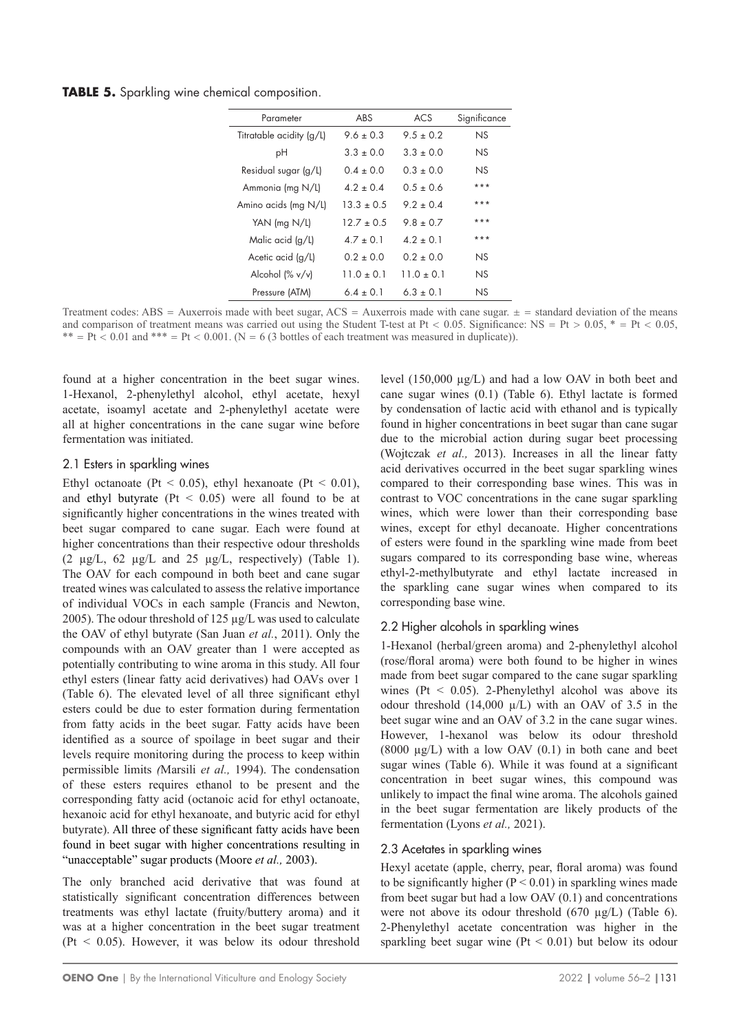**TABLE 5.** Sparkling wine chemical composition.

| Parameter                | ABS           | ACS           | Significance |
|--------------------------|---------------|---------------|--------------|
| Titratable acidity (g/L) | $96 + 03$     | $9.5 \pm 0.2$ | NS           |
| рH                       | $3.3 + 0.0$   | $3.3 + 0.0$   | NS.          |
| Residual sugar (g/L)     | $0.4 \pm 0.0$ | $0.3 \pm 0.0$ | NS.          |
| Ammonia (mg N/L)         | $42 + 04$     | $0.5 \pm 0.6$ | ***          |
| Amino acids (mg N/L)     | $13.3 + 0.5$  | $92 + 04$     | ***          |
| YAN ( $mg N/L$ )         | $127 + 0.5$   | $98 + 07$     | ***          |
| Malic acid (g/L)         | $47 + 01$     | $4.2 \pm 0.1$ | ***          |
| Acetic acid (g/L)        | $0.2 + 0.0$   | $0.2 + 0.0$   | NS.          |
| Alcohol (% v/v)          | $110 + 01$    | $110 + 01$    | NS.          |
| Pressure (ATM)           | $64 + 01$     | $6.3 \pm 0.1$ | NS.          |

Treatment codes: ABS = Auxerrois made with beet sugar,  $ACS =$  Auxerrois made with cane sugar.  $± =$  standard deviation of the means and comparison of treatment means was carried out using the Student T-test at Pt < 0.05. Significance: NS = Pt > 0.05,  $* = Pt < 0.05$ , \*\* =  $Pt < 0.01$  and \*\*\* =  $Pt < 0.001$ . (N = 6 (3 bottles of each treatment was measured in duplicate)).

found at a higher concentration in the beet sugar wines. 1-Hexanol, 2-phenylethyl alcohol, ethyl acetate, hexyl acetate, isoamyl acetate and 2-phenylethyl acetate were all at higher concentrations in the cane sugar wine before fermentation was initiated.

#### 2.1 Esters in sparkling wines

Ethyl octanoate (Pt < 0.05), ethyl hexanoate (Pt < 0.01), and ethyl butyrate ( $Pt < 0.05$ ) were all found to be at significantly higher concentrations in the wines treated with beet sugar compared to cane sugar. Each were found at higher concentrations than their respective odour thresholds (2  $\mu$ g/L, 62  $\mu$ g/L and 25  $\mu$ g/L, respectively) (Table 1). The OAV for each compound in both beet and cane sugar treated wines was calculated to assess the relative importance of individual VOCs in each sample (Francis and Newton, 2005). The odour threshold of 125 µg/L was used to calculate the OAV of ethyl butyrate (San Juan *et al.*, 2011). Only the compounds with an OAV greater than 1 were accepted as potentially contributing to wine aroma in this study. All four ethyl esters (linear fatty acid derivatives) had OAVs over 1 (Table 6). The elevated level of all three significant ethyl esters could be due to ester formation during fermentation from fatty acids in the beet sugar. Fatty acids have been identified as a source of spoilage in beet sugar and their levels require monitoring during the process to keep within permissible limits *(*Marsili *et al.,* 1994). The condensation of these esters requires ethanol to be present and the corresponding fatty acid (octanoic acid for ethyl octanoate, hexanoic acid for ethyl hexanoate, and butyric acid for ethyl butyrate). All three of these significant fatty acids have been found in beet sugar with higher concentrations resulting in "unacceptable" sugar products (Moore *et al.,* 2003).

The only branched acid derivative that was found at statistically significant concentration differences between treatments was ethyl lactate (fruity/buttery aroma) and it was at a higher concentration in the beet sugar treatment  $(Pt < 0.05)$ . However, it was below its odour threshold level (150,000 µg/L) and had a low OAV in both beet and cane sugar wines (0.1) (Table 6). Ethyl lactate is formed by condensation of lactic acid with ethanol and is typically found in higher concentrations in beet sugar than cane sugar due to the microbial action during sugar beet processing (Wojtczak *et al.,* 2013). Increases in all the linear fatty acid derivatives occurred in the beet sugar sparkling wines compared to their corresponding base wines. This was in contrast to VOC concentrations in the cane sugar sparkling wines, which were lower than their corresponding base wines, except for ethyl decanoate. Higher concentrations of esters were found in the sparkling wine made from beet sugars compared to its corresponding base wine, whereas ethyl-2-methylbutyrate and ethyl lactate increased in the sparkling cane sugar wines when compared to its corresponding base wine.

## 2.2 Higher alcohols in sparkling wines

1-Hexanol (herbal/green aroma) and 2-phenylethyl alcohol (rose/floral aroma) were both found to be higher in wines made from beet sugar compared to the cane sugar sparkling wines ( $Pt < 0.05$ ). 2-Phenylethyl alcohol was above its odour threshold  $(14,000 \mu/L)$  with an OAV of 3.5 in the beet sugar wine and an OAV of 3.2 in the cane sugar wines. However, 1-hexanol was below its odour threshold  $(8000 \mu g/L)$  with a low OAV  $(0.1)$  in both cane and beet sugar wines (Table 6). While it was found at a significant concentration in beet sugar wines, this compound was unlikely to impact the final wine aroma. The alcohols gained in the beet sugar fermentation are likely products of the fermentation (Lyons *et al.,* 2021).

## 2.3 Acetates in sparkling wines

Hexyl acetate (apple, cherry, pear, floral aroma) was found to be significantly higher  $(P < 0.01)$  in sparkling wines made from beet sugar but had a low OAV (0.1) and concentrations were not above its odour threshold (670 µg/L) (Table 6). 2-Phenylethyl acetate concentration was higher in the sparkling beet sugar wine ( $Pt < 0.01$ ) but below its odour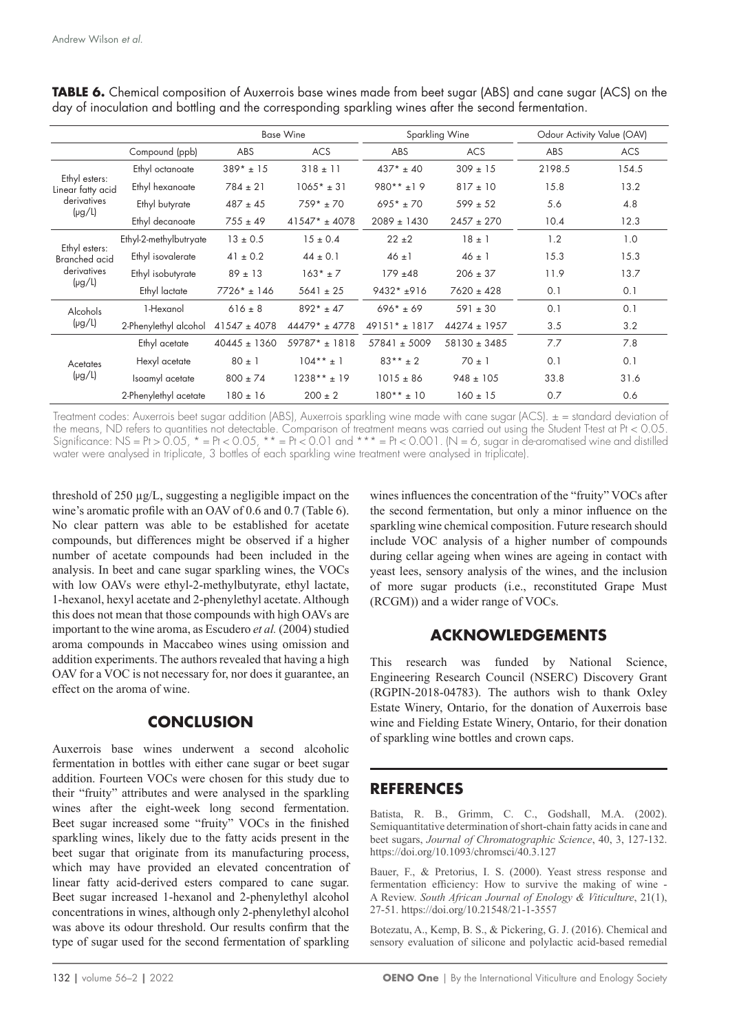|                                       |                        | <b>Base Wine</b> |                 | Sparkling Wine   |                  | Odour Activity Value (OAV) |            |
|---------------------------------------|------------------------|------------------|-----------------|------------------|------------------|----------------------------|------------|
|                                       | Compound (ppb)         | <b>ABS</b>       | <b>ACS</b>      | <b>ABS</b>       | <b>ACS</b>       | ABS                        | <b>ACS</b> |
|                                       | Ethyl octanoate        | $389* + 15$      | $318 \pm 11$    | $437* + 40$      | $309 \pm 15$     | 2198.5                     | 154.5      |
| Ethyl esters:<br>Linear fatty acid    | Ethyl hexanoate        | $784 \pm 21$     | $1065* + 31$    | $980**+19$       | $817 \pm 10$     | 15.8                       | 13.2       |
| derivatives                           | Ethyl butyrate         | $487 \pm 45$     | $759* + 70$     | $695* + 70$      | $599 \pm 52$     | 5.6                        | 4.8        |
| $(\mu g/L)$                           | Ethyl decanoate        | $755 \pm 49$     | $41547* + 4078$ | $2089 \pm 1430$  | $2457 \pm 270$   | 10.4                       | 12.3       |
|                                       | Ethyl-2-methylbutryate | $13 \pm 0.5$     | $15 \pm 0.4$    | $22 + 2$         | $18 \pm 1$       | 1.2                        | 1.0        |
| Ethyl esters:<br><b>Branched</b> acid | Ethyl isovalerate      | $41 \pm 0.2$     | $44 \pm 0.1$    | $46 \pm 1$       | $46 \pm 1$       | 15.3                       | 15.3       |
| derivatives                           | Ethyl isobutyrate      | $89 \pm 13$      | $163* + 7$      | $179 + 48$       | $206 \pm 37$     | 11.9                       | 13.7       |
| $(\mu g/L)$                           | Ethyl lactate          | $7726* + 146$    | $5641 \pm 25$   | $9432 * + 916$   | $7620 \pm 428$   | 0.1                        | 0.1        |
| Alcohols                              | 1-Hexanol              | $616 \pm 8$      | $892* + 47$     | $696* + 69$      | $591 \pm 30$     | 0.1                        | 0.1        |
| $(\mu g/L)$                           | 2-Phenylethyl alcohol  | $41547 \pm 4078$ | $44479* + 4778$ | $49151* + 1817$  | $44274 \pm 1957$ | 3.5                        | 3.2        |
|                                       | Ethyl acetate          | $40445 \pm 1360$ | $59787* + 1818$ | $57841 \pm 5009$ | $58130 \pm 3485$ | 7.7                        | 7.8        |
| Acetates                              | Hexyl acetate          | $80 \pm 1$       | $104** + 1$     | $83***$ ± 2      | $70 \pm 1$       | 0.1                        | 0.1        |
| $(\mu g/L)$                           | Isoamyl acetate        | $800 \pm 74$     | $1238** + 19$   | $1015 \pm 86$    | $948 \pm 105$    | 33.8                       | 31.6       |
|                                       | 2-Phenylethyl acetate  | $180 \pm 16$     | $200 \pm 2$     | $180** + 10$     | $160 \pm 15$     | 0.7                        | 0.6        |

**TABLE 6.** Chemical composition of Auxerrois base wines made from beet sugar (ABS) and cane sugar (ACS) on the day of inoculation and bottling and the corresponding sparkling wines after the second fermentation.

Treatment codes: Auxerrois beet sugar addition (ABS), Auxerrois sparkling wine made with cane sugar (ACS). ± = standard deviation of the means, ND refers to quantities not detectable. Comparison of treatment means was carried out using the Student T-test at Pt < 0.05. Significance: NS = Pt > 0.05, \* = Pt < 0.05, \*\* = Pt < 0.01 and \*\*\* = Pt < 0.001. (N = 6, sugar in de-aromatised wine and distilled water were analysed in triplicate, 3 bottles of each sparkling wine treatment were analysed in triplicate).

threshold of 250 µg/L, suggesting a negligible impact on the wine's aromatic profile with an OAV of 0.6 and 0.7 (Table 6). No clear pattern was able to be established for acetate compounds, but differences might be observed if a higher number of acetate compounds had been included in the analysis. In beet and cane sugar sparkling wines, the VOCs with low OAVs were ethyl-2-methylbutyrate, ethyl lactate, 1-hexanol, hexyl acetate and 2-phenylethyl acetate. Although this does not mean that those compounds with high OAVs are important to the wine aroma, as Escudero *et al.* (2004) studied aroma compounds in Maccabeo wines using omission and addition experiments. The authors revealed that having a high OAV for a VOC is not necessary for, nor does it guarantee, an effect on the aroma of wine.

## **CONCLUSION**

Auxerrois base wines underwent a second alcoholic fermentation in bottles with either cane sugar or beet sugar addition. Fourteen VOCs were chosen for this study due to their "fruity" attributes and were analysed in the sparkling wines after the eight-week long second fermentation. Beet sugar increased some "fruity" VOCs in the finished sparkling wines, likely due to the fatty acids present in the beet sugar that originate from its manufacturing process, which may have provided an elevated concentration of linear fatty acid-derived esters compared to cane sugar. Beet sugar increased 1-hexanol and 2-phenylethyl alcohol concentrations in wines, although only 2-phenylethyl alcohol was above its odour threshold. Our results confirm that the type of sugar used for the second fermentation of sparkling

wines influences the concentration of the "fruity" VOCs after the second fermentation, but only a minor influence on the sparkling wine chemical composition. Future research should include VOC analysis of a higher number of compounds during cellar ageing when wines are ageing in contact with yeast lees, sensory analysis of the wines, and the inclusion of more sugar products (i.e., reconstituted Grape Must (RCGM)) and a wider range of VOCs.

# **ACKNOWLEDGEMENTS**

This research was funded by National Science, Engineering Research Council (NSERC) Discovery Grant (RGPIN-2018-04783). The authors wish to thank Oxley Estate Winery, Ontario, for the donation of Auxerrois base wine and Fielding Estate Winery, Ontario, for their donation of sparkling wine bottles and crown caps.

# **REFERENCES**

Batista, R. B., Grimm, C. C., Godshall, M.A. (2002). Semiquantitative determination of short-chain fatty acids in cane and beet sugars, *Journal of Chromatographic Science*, 40, 3, 127-132. <https://doi.org/10.1093/chromsci/40.3.127>

Bauer, F., & Pretorius, I. S. (2000). Yeast stress response and fermentation efficiency: How to survive the making of wine - A Review. *South African Journal of Enology & Viticulture*, 21(1), 27-51.<https://doi.org/10.21548/21-1-3557>

Botezatu, A., Kemp, B. S., & Pickering, G. J. (2016). Chemical and sensory evaluation of silicone and polylactic acid-based remedial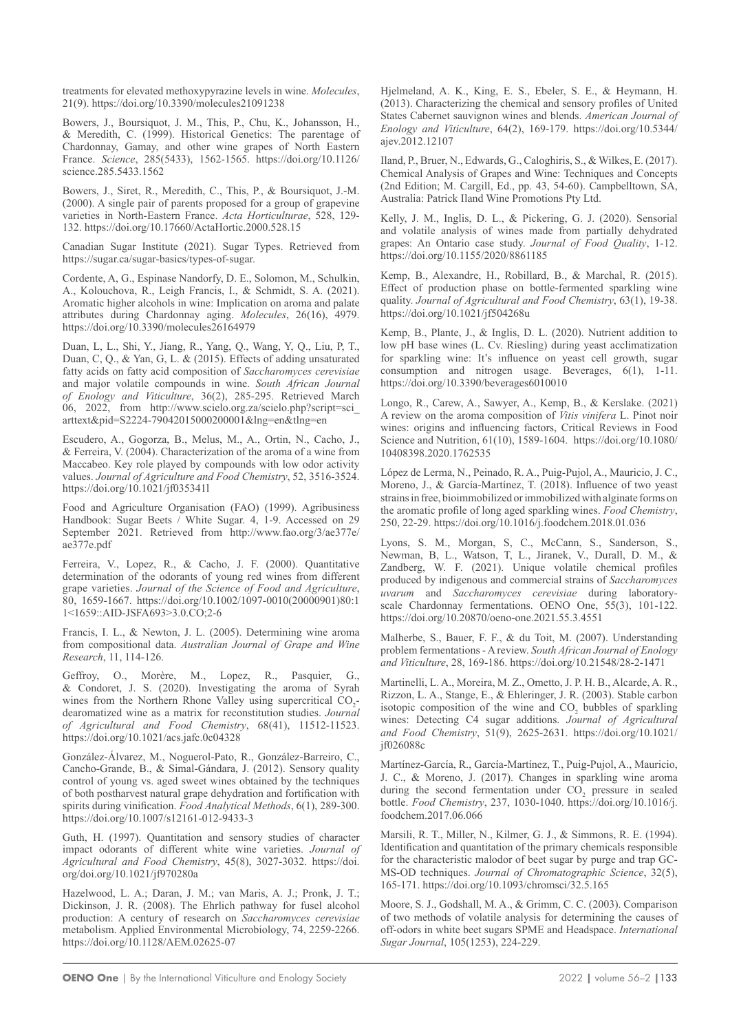treatments for elevated methoxypyrazine levels in wine. *Molecules*, 21(9).<https://doi.org/10.3390/molecules21091238>

Bowers, J., Boursiquot, J. M., This, P., Chu, K., Johansson, H., & Meredith, C. (1999). Historical Genetics: The parentage of Chardonnay, Gamay, and other wine grapes of North Eastern France. *Science*, 285(5433), 1562-1565. [https://doi.org/10.1126/](https://doi.org/10.1126/science.285.5433.1562) [science.285.5433.1562](https://doi.org/10.1126/science.285.5433.1562)

Bowers, J., Siret, R., Meredith, C., This, P., & Boursiquot, J.-M. (2000). A single pair of parents proposed for a group of grapevine varieties in North-Eastern France. *Acta Horticulturae*, 528, 129- 132. <https://doi.org/10.17660/ActaHortic.2000.528.15>

Canadian Sugar Institute (2021). Sugar Types. Retrieved from <https://sugar.ca/sugar-basics/types-of-sugar>.

Cordente, A, G., Espinase Nandorfy, D. E., Solomon, M., Schulkin, A., Kolouchova, R., Leigh Francis, I., & Schmidt, S. A. (2021). Aromatic higher alcohols in wine: Implication on aroma and palate attributes during Chardonnay aging. *Molecules*, 26(16), 4979. <https://doi.org/10.3390/molecules26164979>

Duan, L, L., Shi, Y., Jiang, R., Yang, Q., Wang, Y, Q., Liu, P, T., Duan, C, Q., & Yan, G, L. & (2015). Effects of adding unsaturated fatty acids on fatty acid composition of *Saccharomyces cerevisiae* and major volatile compounds in wine. *South African Journal of Enology and Viticulture*, 36(2), 285-295. Retrieved March 06, 2022, from [http://www.scielo.org.za/scielo.php?script=sci\\_](http://www.scielo.org.za/scielo.php?script=sci_arttext&pid=S2224-79042015000200001&lng=en&tlng=en) [arttext&pid=S2224-79042015000200001&lng=en&tlng=en](http://www.scielo.org.za/scielo.php?script=sci_arttext&pid=S2224-79042015000200001&lng=en&tlng=en)

Escudero, A., Gogorza, B., Melus, M., A., Ortin, N., Cacho, J., & Ferreira, V. (2004). Characterization of the aroma of a wine from Maccabeo. Key role played by compounds with low odor activity values. *Journal of Agriculture and Food Chemistry*, 52, 3516-3524. <https://doi.org/10.1021/jf035341l>

Food and Agriculture Organisation (FAO) (1999). Agribusiness Handbook: Sugar Beets / White Sugar. 4, 1-9. Accessed on 29 September 2021. Retrieved from [http://www.fao.org/3/ae377e/](http://www.fao.org/3/ae377e/ae377e.pdf) [ae377e.pdf](http://www.fao.org/3/ae377e/ae377e.pdf)

Ferreira, V., Lopez, R., & Cacho, J. F. (2000). Quantitative determination of the odorants of young red wines from different grape varieties. *Journal of the Science of Food and Agriculture*, 80, 1659-1667. [https://doi.org/10.1002/1097-0010\(20000901\)80:1](https://doi.org/10.1002/1097-0010(20000901)80:11%3c1659::AID-JSFA693%3e3.0.CO;2-6) [1<1659::AID-JSFA693>3.0.CO;2-6](https://doi.org/10.1002/1097-0010(20000901)80:11%3c1659::AID-JSFA693%3e3.0.CO;2-6)

Francis, I. L., & Newton, J. L. (2005). Determining wine aroma from compositional data. *Australian Journal of Grape and Wine Research*, 11, 114-126.

Geffroy, O., Morère, M., Lopez, R., Pasquier, G., & Condoret, J. S. (2020). Investigating the aroma of Syrah wines from the Northern Rhone Valley using supercritical  $CO_2$ dearomatized wine as a matrix for reconstitution studies. *Journal of Agricultural and Food Chemistry*, 68(41), 11512-11523. <https://doi.org/10.1021/acs.jafc.0c04328>

González-Álvarez, M., Noguerol-Pato, R., González-Barreiro, C., Cancho-Grande, B., & Simal-Gándara, J. (2012). Sensory quality control of young vs. aged sweet wines obtained by the techniques of both postharvest natural grape dehydration and fortification with spirits during vinification. *Food Analytical Methods*, 6(1), 289-300. <https://doi.org/10.1007/s12161-012-9433-3>

Guth, H. (1997). Quantitation and sensory studies of character impact odorants of different white wine varieties. *Journal of Agricultural and Food Chemistry*, 45(8), 3027-3032. [https://doi.](https://doi.org/doi.org/10.1021/jf970280a) [org/doi.org/10.1021/jf970280a](https://doi.org/doi.org/10.1021/jf970280a)

Hazelwood, L. A.; Daran, J. M.; van Maris, A. J.; Pronk, J. T.; Dickinson, J. R. (2008). The Ehrlich pathway for fusel alcohol production: A century of research on *Saccharomyces cerevisiae* metabolism. Applied Environmental Microbiology, 74, 2259-2266. https://doi.org/10.1128/AEM.02625-07

Hjelmeland, A. K., King, E. S., Ebeler, S. E., & Heymann, H. (2013). Characterizing the chemical and sensory profiles of United States Cabernet sauvignon wines and blends. *American Journal of Enology and Viticulture*, 64(2), 169-179. [https://doi.org/10.5344/](https://doi.org/10.5344/ajev.2012.12107) [ajev.2012.12107](https://doi.org/10.5344/ajev.2012.12107) 

Iland, P., Bruer, N., Edwards, G., Caloghiris, S., & Wilkes, E. (2017). Chemical Analysis of Grapes and Wine: Techniques and Concepts (2nd Edition; M. Cargill, Ed., pp. 43, 54-60). Campbelltown, SA, Australia: Patrick Iland Wine Promotions Pty Ltd.

Kelly, J. M., Inglis, D. L., & Pickering, G. J. (2020). Sensorial and volatile analysis of wines made from partially dehydrated grapes: An Ontario case study. *Journal of Food Quality*, 1-12. <https://doi.org/10.1155/2020/8861185>

Kemp, B., Alexandre, H., Robillard, B., & Marchal, R. (2015). Effect of production phase on bottle-fermented sparkling wine quality. *Journal of Agricultural and Food Chemistry*, 63(1), 19-38. <https://doi.org/10.1021/jf504268u>

Kemp, B., Plante, J., & Inglis, D. L. (2020). Nutrient addition to low pH base wines (L. Cv. Riesling) during yeast acclimatization for sparkling wine: It's influence on yeast cell growth, sugar consumption and nitrogen usage. Beverages, 6(1), 1-11. <https://doi.org/10.3390/beverages6010010>

Longo, R., Carew, A., Sawyer, A., Kemp, B., & Kerslake. (2021) A review on the aroma composition of *Vitis vinifera* L. Pinot noir wines: origins and influencing factors, Critical Reviews in Food Science and Nutrition, 61(10), 1589-1604. [https://doi.org/10.1080/](https://doi.org/10.1080/10408398.2020.1762535) [10408398.2020.1762535](https://doi.org/10.1080/10408398.2020.1762535)

López de Lerma, N., Peinado, R. A., Puig-Pujol, A., Mauricio, J. C., Moreno, J., & García-Martínez, T. (2018). Influence of two yeast strains in free, bioimmobilized or immobilized with alginate forms on the aromatic profile of long aged sparkling wines. *Food Chemistry*, 250, 22-29. <https://doi.org/10.1016/j.foodchem.2018.01.036>

Lyons, S. M., Morgan, S, C., McCann, S., Sanderson, S., Newman, B, L., Watson, T, L., Jiranek, V., Durall, D. M., & Zandberg, W. F. (2021). Unique volatile chemical profiles produced by indigenous and commercial strains of *Saccharomyces uvarum* and *Saccharomyces cerevisiae* during laboratoryscale Chardonnay fermentations. OENO One, 55(3), 101-122. <https://doi.org/10.20870/oeno-one.2021.55.3.4551>

Malherbe, S., Bauer, F. F., & du Toit, M. (2007). Understanding problem fermentations - A review. *South African Journal of Enology and Viticulture*, 28, 169-186.<https://doi.org/10.21548/28-2-1471>

Martinelli, L. A., Moreira, M. Z., Ometto, J. P. H. B., Alcarde, A. R., Rizzon, L. A., Stange, E., & Ehleringer, J. R. (2003). Stable carbon isotopic composition of the wine and  $CO<sub>2</sub>$  bubbles of sparkling wines: Detecting C4 sugar additions. *Journal of Agricultural and Food Chemistry*, 51(9), 2625-2631. [https://doi.org/10.1021/](https://doi.org/10.1021/jf026088c) [jf026088c](https://doi.org/10.1021/jf026088c)

Martínez-García, R., García-Martínez, T., Puig-Pujol, A., Mauricio, J. C., & Moreno, J. (2017). Changes in sparkling wine aroma during the second fermentation under  $CO<sub>2</sub>$  pressure in sealed bottle. *Food Chemistry*, 237, 1030-1040. [https://doi.org/10.1016/j.](https://doi.org/10.1016/j.foodchem.2017.06.066) [foodchem.2017.06.066](https://doi.org/10.1016/j.foodchem.2017.06.066)

Marsili, R. T., Miller, N., Kilmer, G. J., & Simmons, R. E. (1994). Identification and quantitation of the primary chemicals responsible for the characteristic malodor of beet sugar by purge and trap GC-MS-OD techniques. *Journal of Chromatographic Science*, 32(5), 165-171. <https://doi.org/10.1093/chromsci/32.5.165>

Moore, S. J., Godshall, M. A., & Grimm, C. C. (2003). Comparison of two methods of volatile analysis for determining the causes of off-odors in white beet sugars SPME and Headspace. *International Sugar Journal*, 105(1253), 224-229.